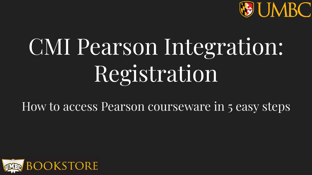

# CMI Pearson Integration: Registration

How to access Pearson courseware in 5 easy steps

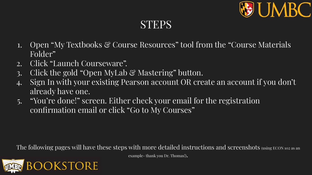

## STEPS

- 1. Open "My Textbooks & Course Resources" tool from the "Course Materials" Folder"
- 2. Click "Launch Courseware".
- 3. Click the gold "Open MyLab & Mastering" button.
- 4. Sign In with your existing Pearson account OR create an account if you don't already have one.
- 5. "You're done!" screen. Either check your email for the registration confirmation email or click "Go to My Courses"

The following pages will have these steps with more detailed instructions and screenshots (using ECON 102 as an



example- thank you Dr. Thomas!).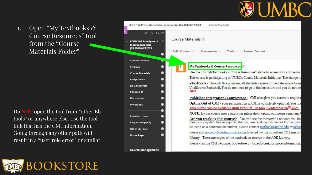

1. Open "My Textbooks & Course Resources" tool from the "Course Materials Folder"

Do **NOT** open the tool from "other Bb tools" or anywhere else. Use the tool link that has the CMI information. Going through any other path will result in a "user role error" or similar.



| ECON 102 Principles of Macroeconomics (05.10830) FA2021                              | Course Materials                                                                                                                                                 |
|--------------------------------------------------------------------------------------|------------------------------------------------------------------------------------------------------------------------------------------------------------------|
| $0\sqrt{u}$ O <sub>D</sub><br><b>ECON 102 Principles of</b><br><b>Macroeconomics</b> | Course Materials                                                                                                                                                 |
| (05.10830) FA2021<br><b>Disco</b>                                                    | <b>Build Content</b><br>Partner Content<br>Assessments v<br>Tools $\vee$                                                                                         |
| Announcements                                                                        |                                                                                                                                                                  |
| Syllabus                                                                             | <b>My Textbooks &amp; Course Resources</b>                                                                                                                       |
| <b>Course Materials</b>                                                              | Use the link "MyTextbooks & Course Resources" above to access your course ma                                                                                     |
| Assignments                                                                          | This course is participating in UMBC's Course Materials Initiative! The charge fo                                                                                |
| <b>Rh Collaborate</b>                                                                | eTextbook - Through this program, all students receive immediate access to an<br>VitalSource Bookshelf. You do not need to go to the bookstore and you do not ne |
| Panopto <sup>[8]</sup>                                                               | 2021.                                                                                                                                                            |
| <b>Discussions</b>                                                                   | Publisher Integration (Courseware) - CMI also gives you access to required                                                                                       |
| <b>My Grades</b>                                                                     | Opting Out of CMI - Your participation in CMI is completely optional. You ma<br>This button will be available until 11:59PM Tuesday, September 14th 2021.        |
|                                                                                      | <b>NOTE:</b> If your course uses a publisher integration; opting out means removing (                                                                            |
| <b>Email Instructor</b>                                                              | Are you retaking this course? - You will see the message "It appears you ha                                                                                      |
| <b>Request Help (RT)</b>                                                             | means our system has recognized that you are retaking this course from a previ                                                                                   |
| Other Bb Tools                                                                       | be listed as a continuation student, please contact textbook@umbc.edu or ochoa                                                                                   |
|                                                                                      | Please add no-reply@verbasoftware.com to avoid having important CMI emails                                                                                       |
| <b>Home Page</b>                                                                     | Library - There are copies of the textbook on reserve in the AOK Library.                                                                                        |
|                                                                                      | Please visit the CMI webpage, bookstore.umbc.edu/cmi, for more information.                                                                                      |
|                                                                                      |                                                                                                                                                                  |
| <b>Course Management</b>                                                             |                                                                                                                                                                  |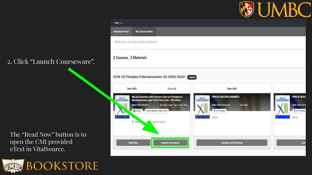## **VE UMBC**

### 2. Click "Launch Courseware".

The "Read Now" button is to open the CMI provided eText in VitalSource.



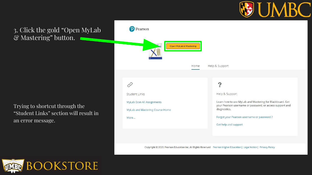

#### 3. Click the gold "Open MyLab & Mastering" button.

Trying to shortcut through the "Student Links" section will result in an error message.

| earson                            |                        |                                                                                                                      |
|-----------------------------------|------------------------|----------------------------------------------------------------------------------------------------------------------|
| <b>Open MyLab &amp; Mastering</b> |                        |                                                                                                                      |
|                                   | Help & Support<br>Home |                                                                                                                      |
|                                   |                        |                                                                                                                      |
| <b>Student Links</b>              |                        | Help & Support                                                                                                       |
| MyLab Econ All Assignments        |                        | Learn how to use MyLab and Mastering for Blackboard. Get<br>your Pearson username or password, or access support and |
| MyLab and Mastering Course Home   |                        | diagnostics.                                                                                                         |
| More                              |                        | Forgot your Pearson username or password?                                                                            |
|                                   |                        | Get help and support                                                                                                 |

Copyright @ 2021 Pearson Education Inc. All Rights Reserved Pearson Higher Education | Legal Notice | Privacy Policy

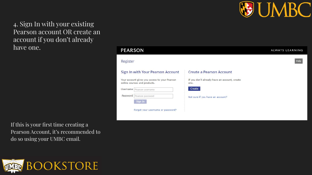

4. Sign In with your existing Pearson account OR create an account if you don't already have one.

If this is your first time creating a Pearson Account, it's recommended to do so using your UMBC email.



| <b>PEARSON</b>                                                                |                                                      | <b>ALWAYS LEARNIN</b> |
|-------------------------------------------------------------------------------|------------------------------------------------------|-----------------------|
| Register                                                                      |                                                      | Help                  |
| Sign In with Your Pearson Account                                             | <b>Create a Pearson Account</b>                      |                       |
| Your account gives you access to your Pearson<br>online courses and products. | If you don't already have an account, create<br>one. |                       |
| Username<br>Pearson username                                                  | Create                                               |                       |
| Password<br>Pearson password                                                  | Not sure if you have an account?                     |                       |
| Sign In                                                                       |                                                      |                       |
| Forgot your username or password?                                             |                                                      |                       |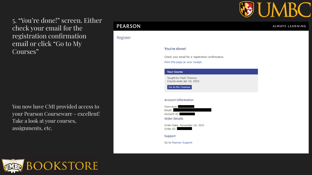

5. "You're done!" screen. Either check your email for the registration confirmation email or click "Go to My Courses"

You now have CMI provided access to your Pearson Courseware - excellent! Take a look at your courses, assignments, etc.

#### **PEARSON**

Register

#### You're done!

Check your email for a registration confirmation.

Print this page as your receipt.

#### **Your Course**

Taught by Mark Thomas Course ends Jan 10, 2022

Go to My Courses

#### **Account Information**

Username: Fmail: Account ID:

**Order Details** 

Order Date: November 18, 2021 Order ID:

Support

Go to Pearson Support



#### ALWAYS LEARNING